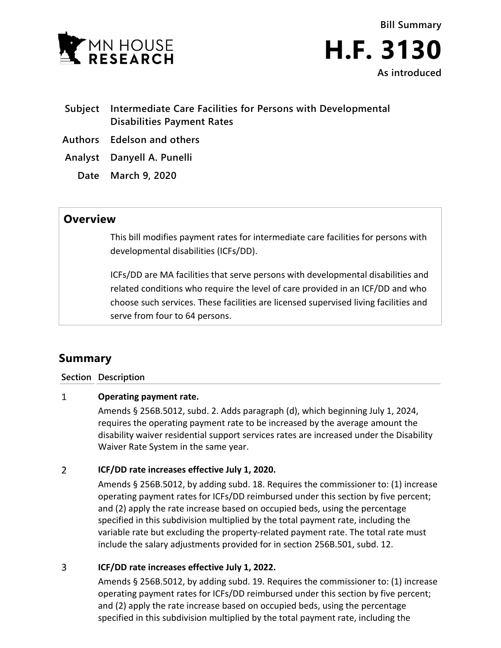



- **Subject Intermediate Care Facilities for Persons with Developmental Disabilities Payment Rates**
- **Authors Edelson and others**
- **Analyst Danyell A. Punelli**
	- **Date March 9, 2020**

## **Overview**

This bill modifies payment rates for intermediate care facilities for persons with developmental disabilities (ICFs/DD).

ICFs/DD are MA facilities that serve persons with developmental disabilities and related conditions who require the level of care provided in an ICF/DD and who choose such services. These facilities are licensed supervised living facilities and serve from four to 64 persons.

# **Summary**

### **Section Description**

#### $\mathbf{1}$ **Operating payment rate.**

Amends § 256B.5012, subd. 2. Adds paragraph (d), which beginning July 1, 2024, requires the operating payment rate to be increased by the average amount the disability waiver residential support services rates are increased under the Disability Waiver Rate System in the same year.

#### $\overline{2}$ **ICF/DD rate increases effective July 1, 2020.**

Amends § 256B.5012, by adding subd. 18. Requires the commissioner to: (1) increase operating payment rates for ICFs/DD reimbursed under this section by five percent; and (2) apply the rate increase based on occupied beds, using the percentage specified in this subdivision multiplied by the total payment rate, including the variable rate but excluding the property-related payment rate. The total rate must include the salary adjustments provided for in section 256B.501, subd. 12.

#### $\overline{3}$ **ICF/DD rate increases effective July 1, 2022.**

Amends § 256B.5012, by adding subd. 19. Requires the commissioner to: (1) increase operating payment rates for ICFs/DD reimbursed under this section by five percent; and (2) apply the rate increase based on occupied beds, using the percentage specified in this subdivision multiplied by the total payment rate, including the